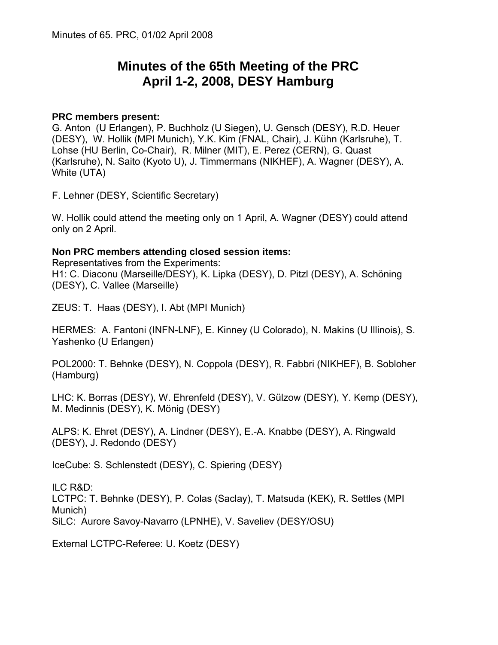# **Minutes of the 65th Meeting of the PRC April 1-2, 2008, DESY Hamburg**

### **PRC members present:**

G. Anton (U Erlangen), P. Buchholz (U Siegen), U. Gensch (DESY), R.D. Heuer (DESY), W. Hollik (MPI Munich), Y.K. Kim (FNAL, Chair), J. Kühn (Karlsruhe), T. Lohse (HU Berlin, Co-Chair), R. Milner (MIT), E. Perez (CERN), G. Quast (Karlsruhe), N. Saito (Kyoto U), J. Timmermans (NIKHEF), A. Wagner (DESY), A. White (UTA)

F. Lehner (DESY, Scientific Secretary)

W. Hollik could attend the meeting only on 1 April, A. Wagner (DESY) could attend only on 2 April.

### **Non PRC members attending closed session items:**

Representatives from the Experiments: H1: C. Diaconu (Marseille/DESY), K. Lipka (DESY), D. Pitzl (DESY), A. Schöning (DESY), C. Vallee (Marseille)

ZEUS: T. Haas (DESY), I. Abt (MPI Munich)

HERMES: A. Fantoni (INFN-LNF), E. Kinney (U Colorado), N. Makins (U Illinois), S. Yashenko (U Erlangen)

POL2000: T. Behnke (DESY), N. Coppola (DESY), R. Fabbri (NIKHEF), B. Sobloher (Hamburg)

LHC: K. Borras (DESY), W. Ehrenfeld (DESY), V. Gülzow (DESY), Y. Kemp (DESY), M. Medinnis (DESY), K. Mönig (DESY)

ALPS: K. Ehret (DESY), A. Lindner (DESY), E.-A. Knabbe (DESY), A. Ringwald (DESY), J. Redondo (DESY)

IceCube: S. Schlenstedt (DESY), C. Spiering (DESY)

ILC R&D: LCTPC: T. Behnke (DESY), P. Colas (Saclay), T. Matsuda (KEK), R. Settles (MPI Munich) SiLC: Aurore Savoy-Navarro (LPNHE), V. Saveliev (DESY/OSU)

External LCTPC-Referee: U. Koetz (DESY)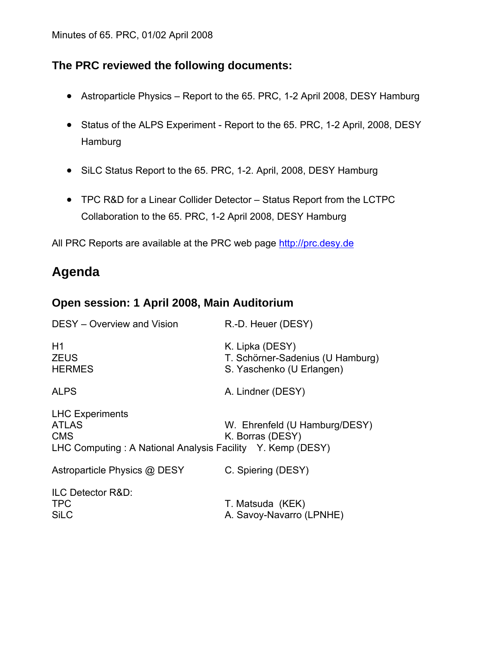## **The PRC reviewed the following documents:**

- Astroparticle Physics Report to the 65. PRC, 1-2 April 2008, DESY Hamburg
- Status of the ALPS Experiment Report to the 65. PRC, 1-2 April, 2008, DESY Hamburg
- SiLC Status Report to the 65. PRC, 1-2. April, 2008, DESY Hamburg
- TPC R&D for a Linear Collider Detector Status Report from the LCTPC Collaboration to the 65. PRC, 1-2 April 2008, DESY Hamburg

All PRC Reports are available at the PRC web page [http://prc.desy.de](http://prc.desy.de/)

# **Agenda**

# **Open session: 1 April 2008, Main Auditorium**

| DESY - Overview and Vision                                                                                         | R.-D. Heuer (DESY)                                                               |
|--------------------------------------------------------------------------------------------------------------------|----------------------------------------------------------------------------------|
| H1<br><b>ZEUS</b><br><b>HERMES</b>                                                                                 | K. Lipka (DESY)<br>T. Schörner-Sadenius (U Hamburg)<br>S. Yaschenko (U Erlangen) |
| <b>ALPS</b>                                                                                                        | A. Lindner (DESY)                                                                |
| <b>LHC Experiments</b><br><b>ATLAS</b><br><b>CMS</b><br>LHC Computing: A National Analysis Facility Y. Kemp (DESY) | W. Ehrenfeld (U Hamburg/DESY)<br>K. Borras (DESY)                                |
| Astroparticle Physics @ DESY                                                                                       | C. Spiering (DESY)                                                               |
| ILC Detector R&D:<br><b>TPC</b><br><b>SiLC</b>                                                                     | T. Matsuda (KEK)<br>A. Savoy-Navarro (LPNHE)                                     |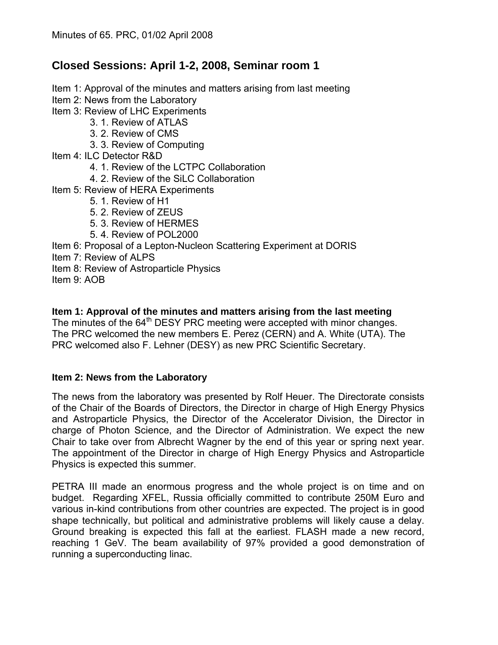# **Closed Sessions: April 1-2, 2008, Seminar room 1**

Item 1: Approval of the minutes and matters arising from last meeting Item 2: News from the Laboratory Item 3: Review of LHC Experiments 3. 1. Review of ATLAS 3. 2. Review of CMS 3. 3. Review of Computing Item 4: ILC Detector R&D 4. 1. Review of the LCTPC Collaboration 4. 2. Review of the SiLC Collaboration Item 5: Review of HERA Experiments 5. 1. Review of H1 5. 2. Review of ZEUS 5. 3. Review of HERMES 5. 4. Review of POL2000 Item 6: Proposal of a Lepton-Nucleon Scattering Experiment at DORIS Item 7: Review of ALPS Item 8: Review of Astroparticle Physics Item 9: AOB

### **Item 1: Approval of the minutes and matters arising from the last meeting**

The minutes of the 64<sup>th</sup> DESY PRC meeting were accepted with minor changes. The PRC welcomed the new members E. Perez (CERN) and A. White (UTA). The PRC welcomed also F. Lehner (DESY) as new PRC Scientific Secretary.

### **Item 2: News from the Laboratory**

The news from the laboratory was presented by Rolf Heuer. The Directorate consists of the Chair of the Boards of Directors, the Director in charge of High Energy Physics and Astroparticle Physics, the Director of the Accelerator Division, the Director in charge of Photon Science, and the Director of Administration. We expect the new Chair to take over from Albrecht Wagner by the end of this year or spring next year. The appointment of the Director in charge of High Energy Physics and Astroparticle Physics is expected this summer.

PETRA III made an enormous progress and the whole project is on time and on budget. Regarding XFEL, Russia officially committed to contribute 250M Euro and various in-kind contributions from other countries are expected. The project is in good shape technically, but political and administrative problems will likely cause a delay. Ground breaking is expected this fall at the earliest. FLASH made a new record, reaching 1 GeV. The beam availability of 97% provided a good demonstration of running a superconducting linac.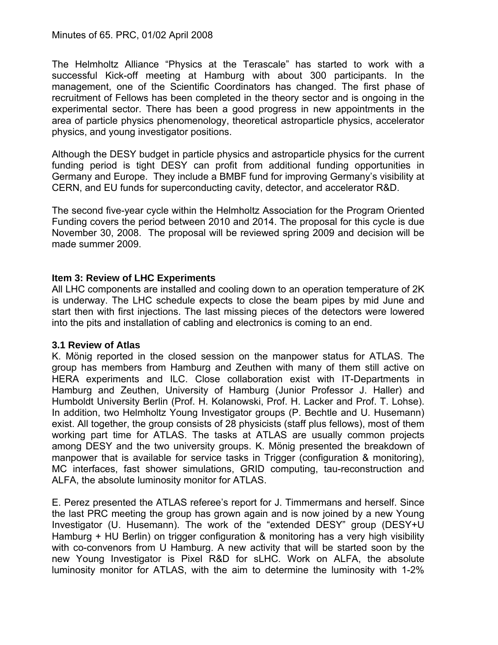The Helmholtz Alliance "Physics at the Terascale" has started to work with a successful Kick-off meeting at Hamburg with about 300 participants. In the management, one of the Scientific Coordinators has changed. The first phase of recruitment of Fellows has been completed in the theory sector and is ongoing in the experimental sector. There has been a good progress in new appointments in the area of particle physics phenomenology, theoretical astroparticle physics, accelerator physics, and young investigator positions.

Although the DESY budget in particle physics and astroparticle physics for the current funding period is tight DESY can profit from additional funding opportunities in Germany and Europe. They include a BMBF fund for improving Germany's visibility at CERN, and EU funds for superconducting cavity, detector, and accelerator R&D.

The second five-year cycle within the Helmholtz Association for the Program Oriented Funding covers the period between 2010 and 2014. The proposal for this cycle is due November 30, 2008. The proposal will be reviewed spring 2009 and decision will be made summer 2009.

### **Item 3: Review of LHC Experiments**

All LHC components are installed and cooling down to an operation temperature of 2K is underway. The LHC schedule expects to close the beam pipes by mid June and start then with first injections. The last missing pieces of the detectors were lowered into the pits and installation of cabling and electronics is coming to an end.

### **3.1 Review of Atlas**

K. Mönig reported in the closed session on the manpower status for ATLAS. The group has members from Hamburg and Zeuthen with many of them still active on HERA experiments and ILC. Close collaboration exist with IT-Departments in Hamburg and Zeuthen, University of Hamburg (Junior Professor J. Haller) and Humboldt University Berlin (Prof. H. Kolanowski, Prof. H. Lacker and Prof. T. Lohse). In addition, two Helmholtz Young Investigator groups (P. Bechtle and U. Husemann) exist. All together, the group consists of 28 physicists (staff plus fellows), most of them working part time for ATLAS. The tasks at ATLAS are usually common projects among DESY and the two university groups. K. Mönig presented the breakdown of manpower that is available for service tasks in Trigger (configuration & monitoring), MC interfaces, fast shower simulations, GRID computing, tau-reconstruction and ALFA, the absolute luminosity monitor for ATLAS.

E. Perez presented the ATLAS referee's report for J. Timmermans and herself. Since the last PRC meeting the group has grown again and is now joined by a new Young Investigator (U. Husemann). The work of the "extended DESY" group (DESY+U Hamburg + HU Berlin) on trigger configuration & monitoring has a very high visibility with co-convenors from U Hamburg. A new activity that will be started soon by the new Young Investigator is Pixel R&D for sLHC. Work on ALFA, the absolute luminosity monitor for ATLAS, with the aim to determine the luminosity with 1-2%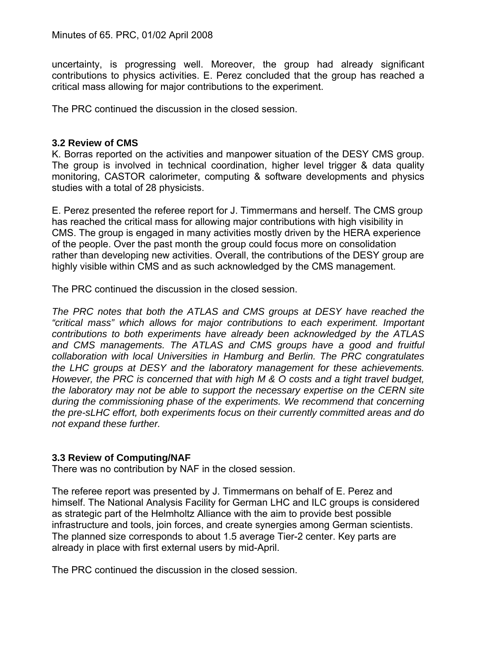uncertainty, is progressing well. Moreover, the group had already significant contributions to physics activities. E. Perez concluded that the group has reached a critical mass allowing for major contributions to the experiment.

The PRC continued the discussion in the closed session.

### **3.2 Review of CMS**

K. Borras reported on the activities and manpower situation of the DESY CMS group. The group is involved in technical coordination, higher level trigger & data quality monitoring, CASTOR calorimeter, computing & software developments and physics studies with a total of 28 physicists.

E. Perez presented the referee report for J. Timmermans and herself. The CMS group has reached the critical mass for allowing major contributions with high visibility in CMS. The group is engaged in many activities mostly driven by the HERA experience of the people. Over the past month the group could focus more on consolidation rather than developing new activities. Overall, the contributions of the DESY group are highly visible within CMS and as such acknowledged by the CMS management.

The PRC continued the discussion in the closed session.

*The PRC notes that both the ATLAS and CMS groups at DESY have reached the "critical mass" which allows for major contributions to each experiment. Important contributions to both experiments have already been acknowledged by the ATLAS and CMS managements. The ATLAS and CMS groups have a good and fruitful collaboration with local Universities in Hamburg and Berlin. The PRC congratulates the LHC groups at DESY and the laboratory management for these achievements. However, the PRC is concerned that with high M & O costs and a tight travel budget, the laboratory may not be able to support the necessary expertise on the CERN site during the commissioning phase of the experiments. We recommend that concerning the pre-sLHC effort, both experiments focus on their currently committed areas and do not expand these further.* 

### **3.3 Review of Computing/NAF**

There was no contribution by NAF in the closed session.

The referee report was presented by J. Timmermans on behalf of E. Perez and himself. The National Analysis Facility for German LHC and ILC groups is considered as strategic part of the Helmholtz Alliance with the aim to provide best possible infrastructure and tools, join forces, and create synergies among German scientists. The planned size corresponds to about 1.5 average Tier-2 center. Key parts are already in place with first external users by mid-April.

The PRC continued the discussion in the closed session.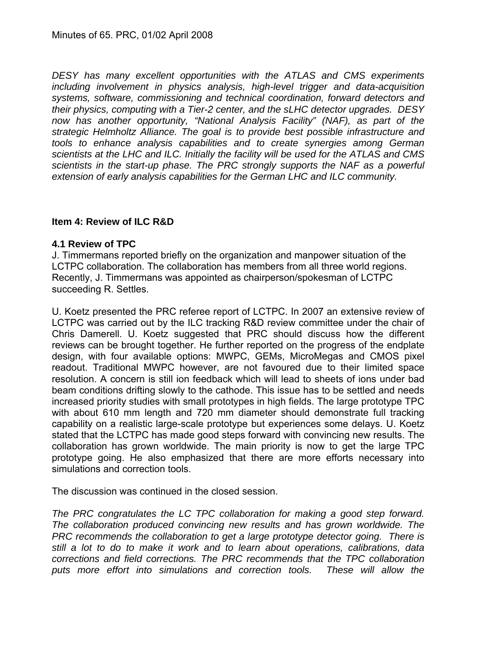*DESY has many excellent opportunities with the ATLAS and CMS experiments including involvement in physics analysis, high-level trigger and data-acquisition systems, software, commissioning and technical coordination, forward detectors and their physics, computing with a Tier-2 center, and the sLHC detector upgrades. DESY now has another opportunity, "National Analysis Facility" (NAF), as part of the strategic Helmholtz Alliance. The goal is to provide best possible infrastructure and tools to enhance analysis capabilities and to create synergies among German scientists at the LHC and ILC. Initially the facility will be used for the ATLAS and CMS scientists in the start-up phase. The PRC strongly supports the NAF as a powerful extension of early analysis capabilities for the German LHC and ILC community.* 

### **Item 4: Review of ILC R&D**

### **4.1 Review of TPC**

J. Timmermans reported briefly on the organization and manpower situation of the LCTPC collaboration. The collaboration has members from all three world regions. Recently, J. Timmermans was appointed as chairperson/spokesman of LCTPC succeeding R. Settles.

U. Koetz presented the PRC referee report of LCTPC. In 2007 an extensive review of LCTPC was carried out by the ILC tracking R&D review committee under the chair of Chris Damerell. U. Koetz suggested that PRC should discuss how the different reviews can be brought together. He further reported on the progress of the endplate design, with four available options: MWPC, GEMs, MicroMegas and CMOS pixel readout. Traditional MWPC however, are not favoured due to their limited space resolution. A concern is still ion feedback which will lead to sheets of ions under bad beam conditions drifting slowly to the cathode. This issue has to be settled and needs increased priority studies with small prototypes in high fields. The large prototype TPC with about 610 mm length and 720 mm diameter should demonstrate full tracking capability on a realistic large-scale prototype but experiences some delays. U. Koetz stated that the LCTPC has made good steps forward with convincing new results. The collaboration has grown worldwide. The main priority is now to get the large TPC prototype going. He also emphasized that there are more efforts necessary into simulations and correction tools.

The discussion was continued in the closed session.

*The PRC congratulates the LC TPC collaboration for making a good step forward. The collaboration produced convincing new results and has grown worldwide. The PRC recommends the collaboration to get a large prototype detector going. There is still a lot to do to make it work and to learn about operations, calibrations, data corrections and field corrections. The PRC recommends that the TPC collaboration puts more effort into simulations and correction tools. These will allow the*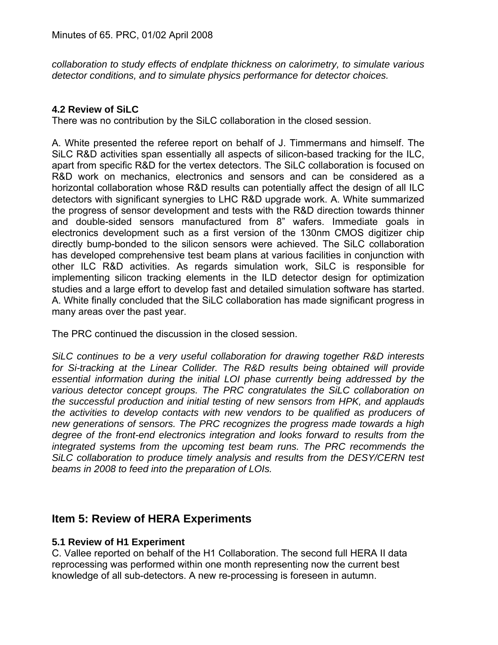*collaboration to study effects of endplate thickness on calorimetry, to simulate various detector conditions, and to simulate physics performance for detector choices.* 

### **4.2 Review of SiLC**

There was no contribution by the SiLC collaboration in the closed session.

A. White presented the referee report on behalf of J. Timmermans and himself. The SiLC R&D activities span essentially all aspects of silicon-based tracking for the ILC, apart from specific R&D for the vertex detectors. The SiLC collaboration is focused on R&D work on mechanics, electronics and sensors and can be considered as a horizontal collaboration whose R&D results can potentially affect the design of all ILC detectors with significant synergies to LHC R&D upgrade work. A. White summarized the progress of sensor development and tests with the R&D direction towards thinner and double-sided sensors manufactured from 8" wafers. Immediate goals in electronics development such as a first version of the 130nm CMOS digitizer chip directly bump-bonded to the silicon sensors were achieved. The SiLC collaboration has developed comprehensive test beam plans at various facilities in conjunction with other ILC R&D activities. As regards simulation work, SiLC is responsible for implementing silicon tracking elements in the ILD detector design for optimization studies and a large effort to develop fast and detailed simulation software has started. A. White finally concluded that the SiLC collaboration has made significant progress in many areas over the past year.

The PRC continued the discussion in the closed session.

*SiLC continues to be a very useful collaboration for drawing together R&D interests*  for Si-tracking at the Linear Collider. The R&D results being obtained will provide *essential information during the initial LOI phase currently being addressed by the various detector concept groups. The PRC congratulates the SiLC collaboration on the successful production and initial testing of new sensors from HPK, and applauds the activities to develop contacts with new vendors to be qualified as producers of new generations of sensors. The PRC recognizes the progress made towards a high degree of the front-end electronics integration and looks forward to results from the integrated systems from the upcoming test beam runs. The PRC recommends the SiLC collaboration to produce timely analysis and results from the DESY/CERN test beams in 2008 to feed into the preparation of LOIs.* 

# **Item 5: Review of HERA Experiments**

### **5.1 Review of H1 Experiment**

C. Vallee reported on behalf of the H1 Collaboration. The second full HERA II data reprocessing was performed within one month representing now the current best knowledge of all sub-detectors. A new re-processing is foreseen in autumn.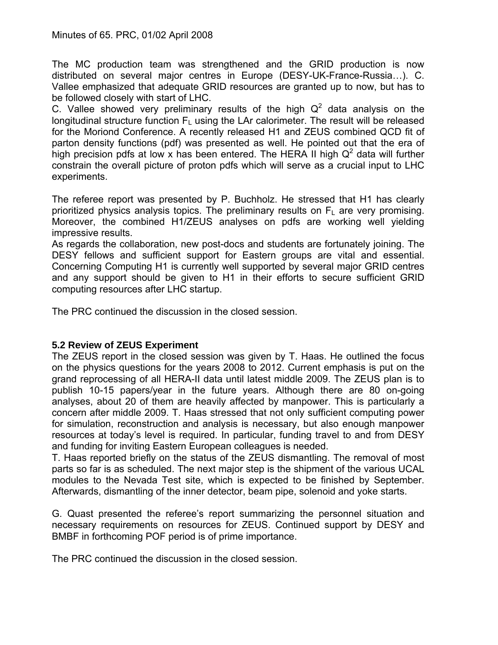The MC production team was strengthened and the GRID production is now distributed on several major centres in Europe (DESY-UK-France-Russia…). C. Vallee emphasized that adequate GRID resources are granted up to now, but has to be followed closely with start of LHC.

C. Vallee showed very preliminary results of the high  $Q^2$  data analysis on the longitudinal structure function  $F_L$  using the LAr calorimeter. The result will be released for the Moriond Conference. A recently released H1 and ZEUS combined QCD fit of parton density functions (pdf) was presented as well. He pointed out that the era of high precision pdfs at low x has been entered. The HERA II high  $Q^2$  data will further constrain the overall picture of proton pdfs which will serve as a crucial input to LHC experiments.

The referee report was presented by P. Buchholz. He stressed that H1 has clearly prioritized physics analysis topics. The preliminary results on  $F<sub>L</sub>$  are very promising. Moreover, the combined H1/ZEUS analyses on pdfs are working well yielding impressive results.

As regards the collaboration, new post-docs and students are fortunately joining. The DESY fellows and sufficient support for Eastern groups are vital and essential. Concerning Computing H1 is currently well supported by several major GRID centres and any support should be given to H1 in their efforts to secure sufficient GRID computing resources after LHC startup.

The PRC continued the discussion in the closed session.

### **5.2 Review of ZEUS Experiment**

The ZEUS report in the closed session was given by T. Haas. He outlined the focus on the physics questions for the years 2008 to 2012. Current emphasis is put on the grand reprocessing of all HERA-II data until latest middle 2009. The ZEUS plan is to publish 10-15 papers/year in the future years. Although there are 80 on-going analyses, about 20 of them are heavily affected by manpower. This is particularly a concern after middle 2009. T. Haas stressed that not only sufficient computing power for simulation, reconstruction and analysis is necessary, but also enough manpower resources at today's level is required. In particular, funding travel to and from DESY and funding for inviting Eastern European colleagues is needed.

T. Haas reported briefly on the status of the ZEUS dismantling. The removal of most parts so far is as scheduled. The next major step is the shipment of the various UCAL modules to the Nevada Test site, which is expected to be finished by September. Afterwards, dismantling of the inner detector, beam pipe, solenoid and yoke starts.

G. Quast presented the referee's report summarizing the personnel situation and necessary requirements on resources for ZEUS. Continued support by DESY and BMBF in forthcoming POF period is of prime importance.

The PRC continued the discussion in the closed session.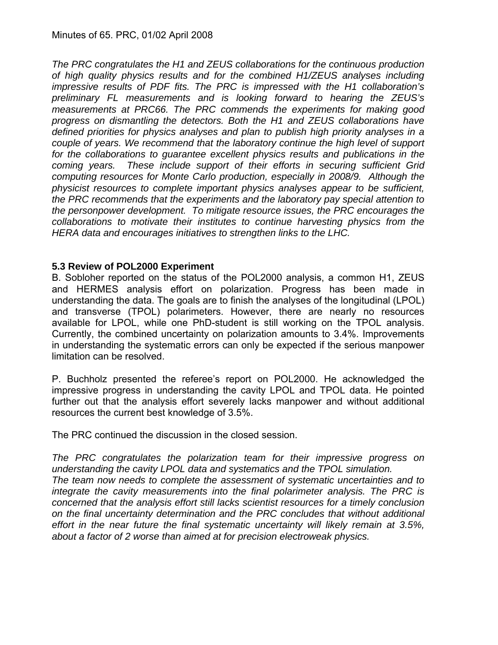*The PRC congratulates the H1 and ZEUS collaborations for the continuous production of high quality physics results and for the combined H1/ZEUS analyses including impressive results of PDF fits. The PRC is impressed with the H1 collaboration's preliminary FL measurements and is looking forward to hearing the ZEUS's measurements at PRC66. The PRC commends the experiments for making good progress on dismantling the detectors. Both the H1 and ZEUS collaborations have defined priorities for physics analyses and plan to publish high priority analyses in a couple of years. We recommend that the laboratory continue the high level of support for the collaborations to guarantee excellent physics results and publications in the coming years. These include support of their efforts in securing sufficient Grid computing resources for Monte Carlo production, especially in 2008/9. Although the physicist resources to complete important physics analyses appear to be sufficient, the PRC recommends that the experiments and the laboratory pay special attention to the personpower development. To mitigate resource issues, the PRC encourages the collaborations to motivate their institutes to continue harvesting physics from the HERA data and encourages initiatives to strengthen links to the LHC.* 

### **5.3 Review of POL2000 Experiment**

B. Sobloher reported on the status of the POL2000 analysis, a common H1, ZEUS and HERMES analysis effort on polarization. Progress has been made in understanding the data. The goals are to finish the analyses of the longitudinal (LPOL) and transverse (TPOL) polarimeters. However, there are nearly no resources available for LPOL, while one PhD-student is still working on the TPOL analysis. Currently, the combined uncertainty on polarization amounts to 3.4%. Improvements in understanding the systematic errors can only be expected if the serious manpower limitation can be resolved.

P. Buchholz presented the referee's report on POL2000. He acknowledged the impressive progress in understanding the cavity LPOL and TPOL data. He pointed further out that the analysis effort severely lacks manpower and without additional resources the current best knowledge of 3.5%.

The PRC continued the discussion in the closed session.

*The PRC congratulates the polarization team for their impressive progress on understanding the cavity LPOL data and systematics and the TPOL simulation. The team now needs to complete the assessment of systematic uncertainties and to integrate the cavity measurements into the final polarimeter analysis. The PRC is concerned that the analysis effort still lacks scientist resources for a timely conclusion on the final uncertainty determination and the PRC concludes that without additional effort in the near future the final systematic uncertainty will likely remain at 3.5%, about a factor of 2 worse than aimed at for precision electroweak physics.*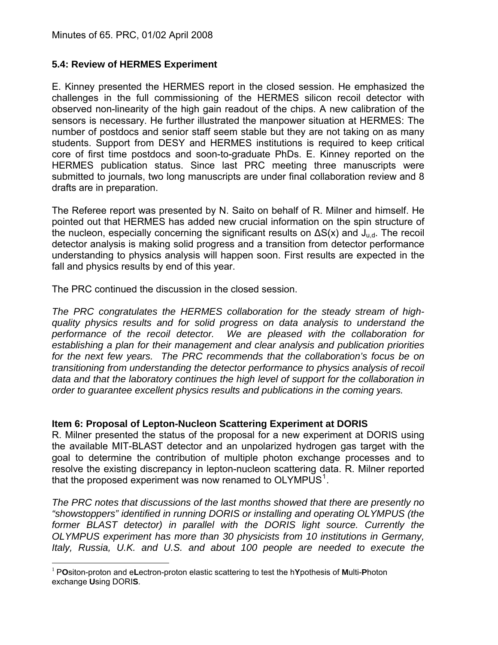### **5.4: Review of HERMES Experiment**

E. Kinney presented the HERMES report in the closed session. He emphasized the challenges in the full commissioning of the HERMES silicon recoil detector with observed non-linearity of the high gain readout of the chips. A new calibration of the sensors is necessary. He further illustrated the manpower situation at HERMES: The number of postdocs and senior staff seem stable but they are not taking on as many students. Support from DESY and HERMES institutions is required to keep critical core of first time postdocs and soon-to-graduate PhDs. E. Kinney reported on the HERMES publication status. Since last PRC meeting three manuscripts were submitted to journals, two long manuscripts are under final collaboration review and 8 drafts are in preparation.

The Referee report was presented by N. Saito on behalf of R. Milner and himself. He pointed out that HERMES has added new crucial information on the spin structure of the nucleon, especially concerning the significant results on  $\Delta S(x)$  and  $J_{ud}$ . The recoil detector analysis is making solid progress and a transition from detector performance understanding to physics analysis will happen soon. First results are expected in the fall and physics results by end of this year.

The PRC continued the discussion in the closed session.

*The PRC congratulates the HERMES collaboration for the steady stream of highquality physics results and for solid progress on data analysis to understand the performance of the recoil detector. We are pleased with the collaboration for establishing a plan for their management and clear analysis and publication priorities for the next few years. The PRC recommends that the collaboration's focus be on transitioning from understanding the detector performance to physics analysis of recoil data and that the laboratory continues the high level of support for the collaboration in order to guarantee excellent physics results and publications in the coming years.* 

### **Item 6: Proposal of Lepton-Nucleon Scattering Experiment at DORIS**

R. Milner presented the status of the proposal for a new experiment at DORIS using the available MIT-BLAST detector and an unpolarized hydrogen gas target with the goal to determine the contribution of multiple photon exchange processes and to resolve the existing discrepancy in lepton-nucleon scattering data. R. Milner reported that the proposed experiment was now renamed to OLYMPUS<sup>[1](#page-9-0)</sup>.

*The PRC notes that discussions of the last months showed that there are presently no "showstoppers" identified in running DORIS or installing and operating OLYMPUS (the*  former BLAST detector) in parallel with the DORIS light source. Currently the *OLYMPUS experiment has more than 30 physicists from 10 institutions in Germany, Italy, Russia, U.K. and U.S. and about 100 people are needed to execute the* 

<span id="page-9-0"></span> $\overline{a}$ <sup>1</sup> P**O**siton-proton and e**L**ectron-proton elastic scattering to test the h**Y**pothesis of **M**ulti-**P**hoton exchange **U**sing DORI**S**.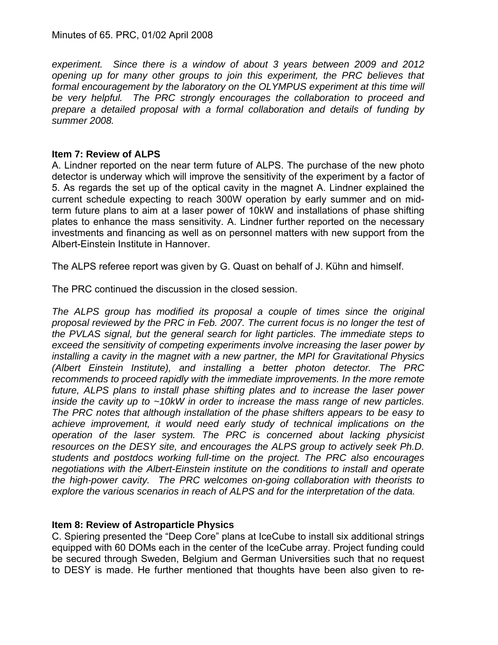Minutes of 65. PRC, 01/02 April 2008

*experiment. Since there is a window of about 3 years between 2009 and 2012 opening up for many other groups to join this experiment, the PRC believes that formal encouragement by the laboratory on the OLYMPUS experiment at this time will be very helpful. The PRC strongly encourages the collaboration to proceed and prepare a detailed proposal with a formal collaboration and details of funding by summer 2008.* 

### **Item 7: Review of ALPS**

A. Lindner reported on the near term future of ALPS. The purchase of the new photo detector is underway which will improve the sensitivity of the experiment by a factor of 5. As regards the set up of the optical cavity in the magnet A. Lindner explained the current schedule expecting to reach 300W operation by early summer and on midterm future plans to aim at a laser power of 10kW and installations of phase shifting plates to enhance the mass sensitivity. A. Lindner further reported on the necessary investments and financing as well as on personnel matters with new support from the Albert-Einstein Institute in Hannover.

The ALPS referee report was given by G. Quast on behalf of J. Kühn and himself.

The PRC continued the discussion in the closed session.

The ALPS group has modified its proposal a couple of times since the original *proposal reviewed by the PRC in Feb. 2007. The current focus is no longer the test of the PVLAS signal, but the general search for light particles. The immediate steps to exceed the sensitivity of competing experiments involve increasing the laser power by installing a cavity in the magnet with a new partner, the MPI for Gravitational Physics (Albert Einstein Institute), and installing a better photon detector. The PRC recommends to proceed rapidly with the immediate improvements. In the more remote future, ALPS plans to install phase shifting plates and to increase the laser power inside the cavity up to ~10kW in order to increase the mass range of new particles.*  The PRC notes that although installation of the phase shifters appears to be easy to *achieve improvement, it would need early study of technical implications on the operation of the laser system. The PRC is concerned about lacking physicist resources on the DESY site, and encourages the ALPS group to actively seek Ph.D. students and postdocs working full-time on the project. The PRC also encourages negotiations with the Albert-Einstein institute on the conditions to install and operate the high-power cavity. The PRC welcomes on-going collaboration with theorists to explore the various scenarios in reach of ALPS and for the interpretation of the data.* 

### **Item 8: Review of Astroparticle Physics**

C. Spiering presented the "Deep Core" plans at IceCube to install six additional strings equipped with 60 DOMs each in the center of the IceCube array. Project funding could be secured through Sweden, Belgium and German Universities such that no request to DESY is made. He further mentioned that thoughts have been also given to re-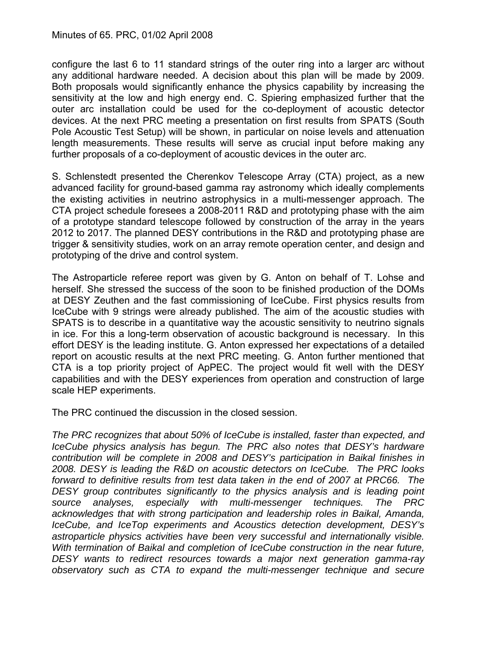### Minutes of 65. PRC, 01/02 April 2008

configure the last 6 to 11 standard strings of the outer ring into a larger arc without any additional hardware needed. A decision about this plan will be made by 2009. Both proposals would significantly enhance the physics capability by increasing the sensitivity at the low and high energy end. C. Spiering emphasized further that the outer arc installation could be used for the co-deployment of acoustic detector devices. At the next PRC meeting a presentation on first results from SPATS (South Pole Acoustic Test Setup) will be shown, in particular on noise levels and attenuation length measurements. These results will serve as crucial input before making any further proposals of a co-deployment of acoustic devices in the outer arc.

S. Schlenstedt presented the Cherenkov Telescope Array (CTA) project, as a new advanced facility for ground-based gamma ray astronomy which ideally complements the existing activities in neutrino astrophysics in a multi-messenger approach. The CTA project schedule foresees a 2008-2011 R&D and prototyping phase with the aim of a prototype standard telescope followed by construction of the array in the years 2012 to 2017. The planned DESY contributions in the R&D and prototyping phase are trigger & sensitivity studies, work on an array remote operation center, and design and prototyping of the drive and control system.

The Astroparticle referee report was given by G. Anton on behalf of T. Lohse and herself. She stressed the success of the soon to be finished production of the DOMs at DESY Zeuthen and the fast commissioning of IceCube. First physics results from IceCube with 9 strings were already published. The aim of the acoustic studies with SPATS is to describe in a quantitative way the acoustic sensitivity to neutrino signals in ice. For this a long-term observation of acoustic background is necessary. In this effort DESY is the leading institute. G. Anton expressed her expectations of a detailed report on acoustic results at the next PRC meeting. G. Anton further mentioned that CTA is a top priority project of ApPEC. The project would fit well with the DESY capabilities and with the DESY experiences from operation and construction of large scale HEP experiments.

The PRC continued the discussion in the closed session.

*The PRC recognizes that about 50% of IceCube is installed, faster than expected, and IceCube physics analysis has begun. The PRC also notes that DESY's hardware contribution will be complete in 2008 and DESY's participation in Baikal finishes in 2008. DESY is leading the R&D on acoustic detectors on IceCube. The PRC looks forward to definitive results from test data taken in the end of 2007 at PRC66. The DESY group contributes significantly to the physics analysis and is leading point source analyses, especially with multi-messenger techniques. The PRC acknowledges that with strong participation and leadership roles in Baikal, Amanda, IceCube, and IceTop experiments and Acoustics detection development, DESY's astroparticle physics activities have been very successful and internationally visible. With termination of Baikal and completion of IceCube construction in the near future, DESY wants to redirect resources towards a major next generation gamma-ray observatory such as CTA to expand the multi-messenger technique and secure*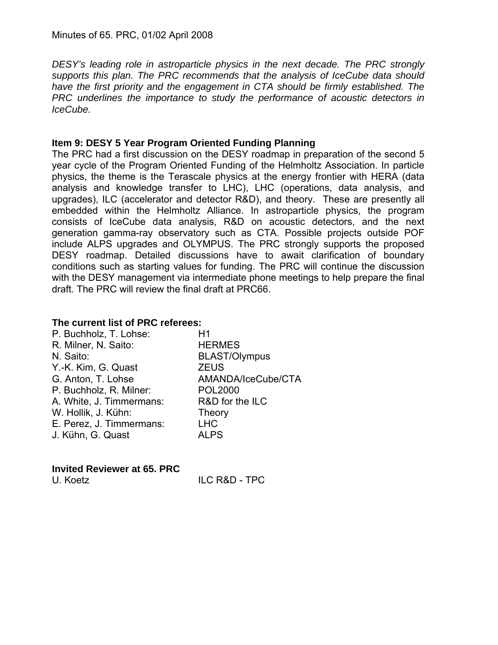*DESY's leading role in astroparticle physics in the next decade. The PRC strongly supports this plan. The PRC recommends that the analysis of IceCube data should have the first priority and the engagement in CTA should be firmly established. The PRC underlines the importance to study the performance of acoustic detectors in IceCube.* 

### **Item 9: DESY 5 Year Program Oriented Funding Planning**

The PRC had a first discussion on the DESY roadmap in preparation of the second 5 year cycle of the Program Oriented Funding of the Helmholtz Association. In particle physics, the theme is the Terascale physics at the energy frontier with HERA (data analysis and knowledge transfer to LHC), LHC (operations, data analysis, and upgrades), ILC (accelerator and detector R&D), and theory. These are presently all embedded within the Helmholtz Alliance. In astroparticle physics, the program consists of IceCube data analysis, R&D on acoustic detectors, and the next generation gamma-ray observatory such as CTA. Possible projects outside POF include ALPS upgrades and OLYMPUS. The PRC strongly supports the proposed DESY roadmap. Detailed discussions have to await clarification of boundary conditions such as starting values for funding. The PRC will continue the discussion with the DESY management via intermediate phone meetings to help prepare the final draft. The PRC will review the final draft at PRC66.

### **The current list of PRC referees:**

| P. Buchholz, T. Lohse:   | H1                   |
|--------------------------|----------------------|
| R. Milner, N. Saito:     | <b>HERMES</b>        |
| N. Saito:                | <b>BLAST/Olympus</b> |
| Y.-K. Kim, G. Quast      | <b>ZEUS</b>          |
| G. Anton, T. Lohse       | AMANDA/IceCube/CTA   |
| P. Buchholz, R. Milner:  | <b>POL2000</b>       |
| A. White, J. Timmermans: | R&D for the ILC      |
| W. Hollik, J. Kühn:      | <b>Theory</b>        |
| E. Perez, J. Timmermans: | <b>LHC</b>           |
| J. Kühn, G. Quast        | <b>ALPS</b>          |
|                          |                      |

#### **Invited Reviewer at 65. PRC**

U. Koetz **ILC R&D - TPC**